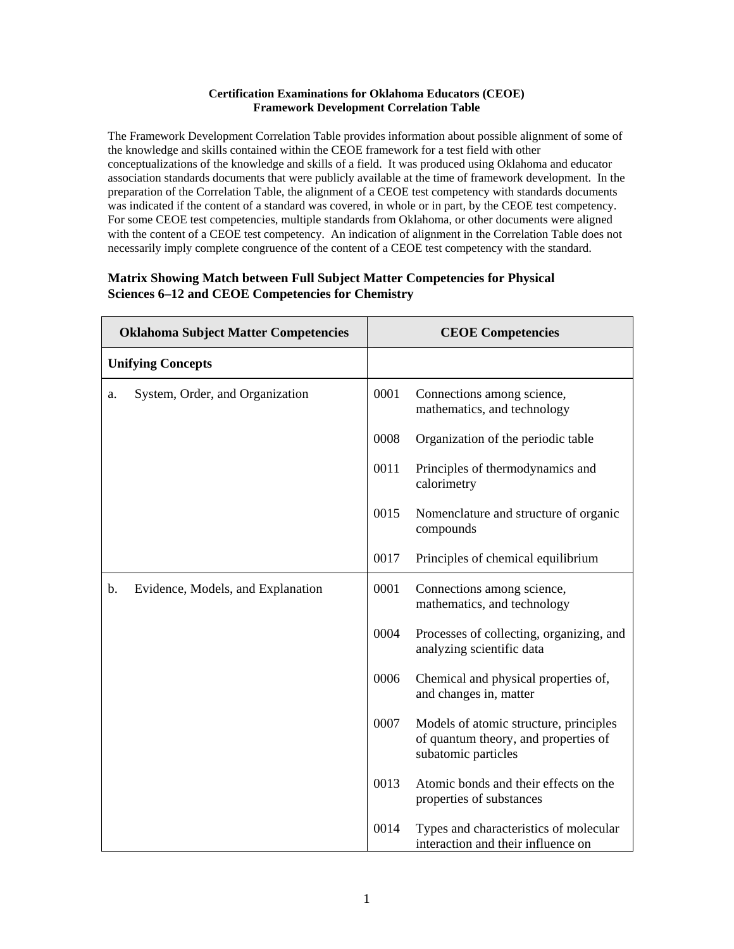## **Certification Examinations for Oklahoma Educators (CEOE) Framework Development Correlation Table**

The Framework Development Correlation Table provides information about possible alignment of some of the knowledge and skills contained within the CEOE framework for a test field with other conceptualizations of the knowledge and skills of a field. It was produced using Oklahoma and educator association standards documents that were publicly available at the time of framework development. In the preparation of the Correlation Table, the alignment of a CEOE test competency with standards documents was indicated if the content of a standard was covered, in whole or in part, by the CEOE test competency. For some CEOE test competencies, multiple standards from Oklahoma, or other documents were aligned with the content of a CEOE test competency. An indication of alignment in the Correlation Table does not necessarily imply complete congruence of the content of a CEOE test competency with the standard.

## **Matrix Showing Match between Full Subject Matter Competencies for Physical Sciences 6–12 and CEOE Competencies for Chemistry**

| <b>Oklahoma Subject Matter Competencies</b> |                                   | <b>CEOE Competencies</b> |                                                                                                       |
|---------------------------------------------|-----------------------------------|--------------------------|-------------------------------------------------------------------------------------------------------|
| <b>Unifying Concepts</b>                    |                                   |                          |                                                                                                       |
| a.                                          | System, Order, and Organization   | 0001                     | Connections among science,<br>mathematics, and technology                                             |
|                                             |                                   | 0008                     | Organization of the periodic table                                                                    |
|                                             |                                   | 0011                     | Principles of thermodynamics and<br>calorimetry                                                       |
|                                             |                                   | 0015                     | Nomenclature and structure of organic<br>compounds                                                    |
|                                             |                                   | 0017                     | Principles of chemical equilibrium                                                                    |
| $\mathbf{b}$ .                              | Evidence, Models, and Explanation | 0001                     | Connections among science,<br>mathematics, and technology                                             |
|                                             |                                   | 0004                     | Processes of collecting, organizing, and<br>analyzing scientific data                                 |
|                                             |                                   | 0006                     | Chemical and physical properties of,<br>and changes in, matter                                        |
|                                             |                                   | 0007                     | Models of atomic structure, principles<br>of quantum theory, and properties of<br>subatomic particles |
|                                             |                                   | 0013                     | Atomic bonds and their effects on the<br>properties of substances                                     |
|                                             |                                   | 0014                     | Types and characteristics of molecular<br>interaction and their influence on                          |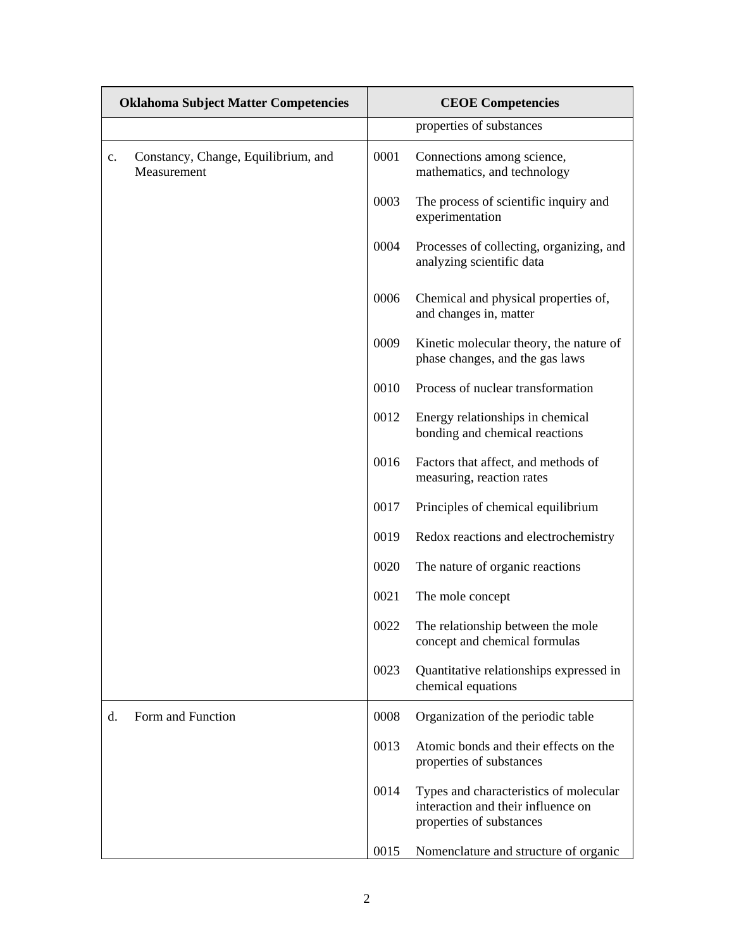| <b>Oklahoma Subject Matter Competencies</b> |                                                    | <b>CEOE Competencies</b> |                                                                                                          |  |
|---------------------------------------------|----------------------------------------------------|--------------------------|----------------------------------------------------------------------------------------------------------|--|
|                                             |                                                    |                          | properties of substances                                                                                 |  |
| $\mathbf{c}$ .                              | Constancy, Change, Equilibrium, and<br>Measurement | 0001                     | Connections among science,<br>mathematics, and technology                                                |  |
|                                             |                                                    | 0003                     | The process of scientific inquiry and<br>experimentation                                                 |  |
|                                             |                                                    | 0004                     | Processes of collecting, organizing, and<br>analyzing scientific data                                    |  |
|                                             |                                                    | 0006                     | Chemical and physical properties of,<br>and changes in, matter                                           |  |
|                                             |                                                    | 0009                     | Kinetic molecular theory, the nature of<br>phase changes, and the gas laws                               |  |
|                                             |                                                    | 0010                     | Process of nuclear transformation                                                                        |  |
|                                             |                                                    | 0012                     | Energy relationships in chemical<br>bonding and chemical reactions                                       |  |
|                                             |                                                    | 0016                     | Factors that affect, and methods of<br>measuring, reaction rates                                         |  |
|                                             |                                                    | 0017                     | Principles of chemical equilibrium                                                                       |  |
|                                             |                                                    | 0019                     | Redox reactions and electrochemistry                                                                     |  |
|                                             |                                                    | 0020                     | The nature of organic reactions                                                                          |  |
|                                             |                                                    | 0021                     | The mole concept                                                                                         |  |
|                                             |                                                    | 0022                     | The relationship between the mole<br>concept and chemical formulas                                       |  |
|                                             |                                                    | 0023                     | Quantitative relationships expressed in<br>chemical equations                                            |  |
| d.                                          | Form and Function                                  | 0008                     | Organization of the periodic table                                                                       |  |
|                                             |                                                    | 0013                     | Atomic bonds and their effects on the<br>properties of substances                                        |  |
|                                             |                                                    | 0014                     | Types and characteristics of molecular<br>interaction and their influence on<br>properties of substances |  |
|                                             |                                                    | 0015                     | Nomenclature and structure of organic                                                                    |  |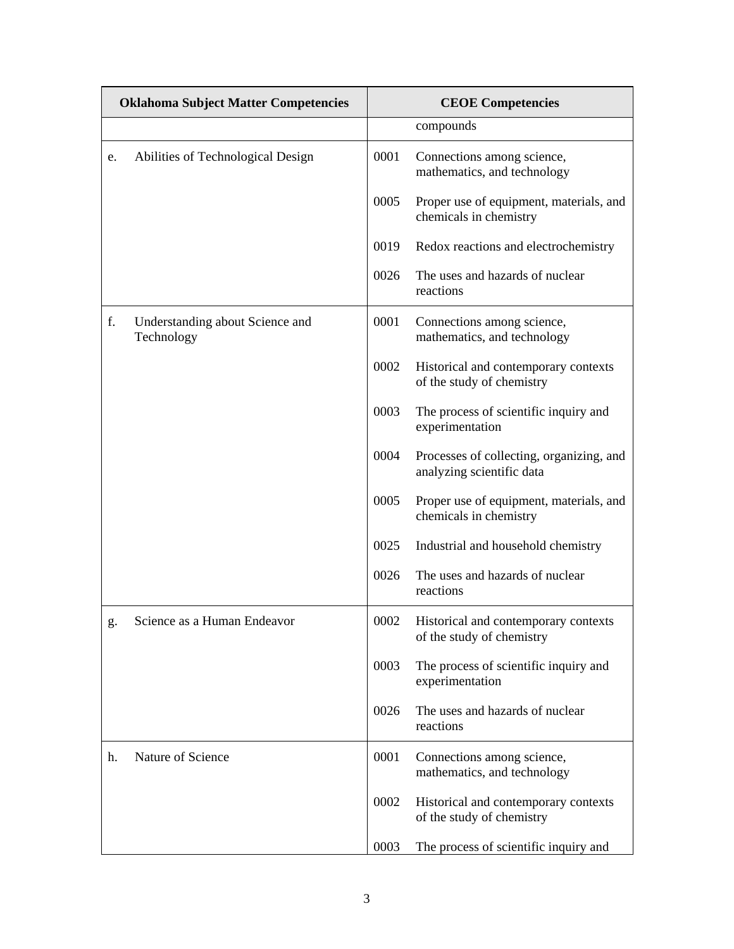| <b>Oklahoma Subject Matter Competencies</b> |                                               | <b>CEOE Competencies</b> |                                                                       |
|---------------------------------------------|-----------------------------------------------|--------------------------|-----------------------------------------------------------------------|
|                                             |                                               |                          | compounds                                                             |
| e.                                          | Abilities of Technological Design             | 0001                     | Connections among science,<br>mathematics, and technology             |
|                                             |                                               | 0005                     | Proper use of equipment, materials, and<br>chemicals in chemistry     |
|                                             |                                               | 0019                     | Redox reactions and electrochemistry                                  |
|                                             |                                               | 0026                     | The uses and hazards of nuclear<br>reactions                          |
| f.                                          | Understanding about Science and<br>Technology | 0001                     | Connections among science,<br>mathematics, and technology             |
|                                             |                                               | 0002                     | Historical and contemporary contexts<br>of the study of chemistry     |
|                                             |                                               | 0003                     | The process of scientific inquiry and<br>experimentation              |
|                                             |                                               | 0004                     | Processes of collecting, organizing, and<br>analyzing scientific data |
|                                             |                                               | 0005                     | Proper use of equipment, materials, and<br>chemicals in chemistry     |
|                                             |                                               | 0025                     | Industrial and household chemistry                                    |
|                                             |                                               | 0026                     | The uses and hazards of nuclear<br>reactions                          |
| g.                                          | Science as a Human Endeavor                   | 0002                     | Historical and contemporary contexts<br>of the study of chemistry     |
|                                             |                                               | 0003                     | The process of scientific inquiry and<br>experimentation              |
|                                             |                                               | 0026                     | The uses and hazards of nuclear<br>reactions                          |
| h.                                          | Nature of Science                             | 0001                     | Connections among science,<br>mathematics, and technology             |
|                                             |                                               | 0002                     | Historical and contemporary contexts<br>of the study of chemistry     |
|                                             |                                               | 0003                     | The process of scientific inquiry and                                 |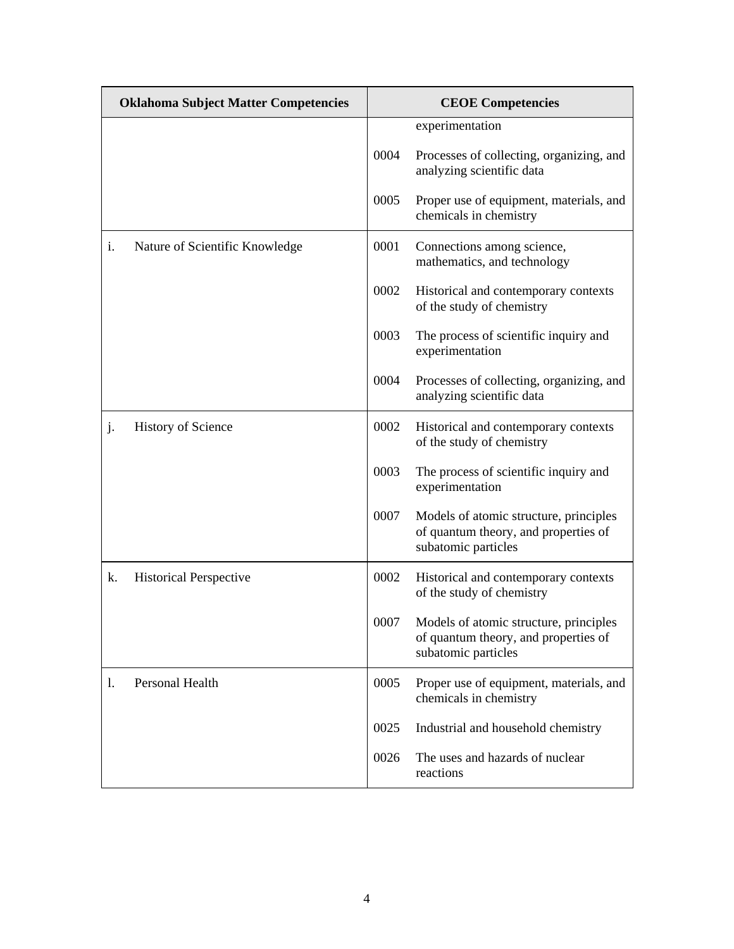| <b>Oklahoma Subject Matter Competencies</b> |                                | <b>CEOE Competencies</b> |                                                                                                       |
|---------------------------------------------|--------------------------------|--------------------------|-------------------------------------------------------------------------------------------------------|
|                                             |                                |                          | experimentation                                                                                       |
|                                             |                                | 0004                     | Processes of collecting, organizing, and<br>analyzing scientific data                                 |
|                                             |                                | 0005                     | Proper use of equipment, materials, and<br>chemicals in chemistry                                     |
| i.                                          | Nature of Scientific Knowledge | 0001                     | Connections among science,<br>mathematics, and technology                                             |
|                                             |                                | 0002                     | Historical and contemporary contexts<br>of the study of chemistry                                     |
|                                             |                                | 0003                     | The process of scientific inquiry and<br>experimentation                                              |
|                                             |                                | 0004                     | Processes of collecting, organizing, and<br>analyzing scientific data                                 |
| j.                                          | History of Science             | 0002                     | Historical and contemporary contexts<br>of the study of chemistry                                     |
|                                             |                                | 0003                     | The process of scientific inquiry and<br>experimentation                                              |
|                                             |                                | 0007                     | Models of atomic structure, principles<br>of quantum theory, and properties of<br>subatomic particles |
| k.                                          | <b>Historical Perspective</b>  | 0002                     | Historical and contemporary contexts<br>of the study of chemistry                                     |
|                                             |                                | 0007                     | Models of atomic structure, principles<br>of quantum theory, and properties of<br>subatomic particles |
| 1.                                          | Personal Health                | 0005                     | Proper use of equipment, materials, and<br>chemicals in chemistry                                     |
|                                             |                                | 0025                     | Industrial and household chemistry                                                                    |
|                                             |                                | 0026                     | The uses and hazards of nuclear<br>reactions                                                          |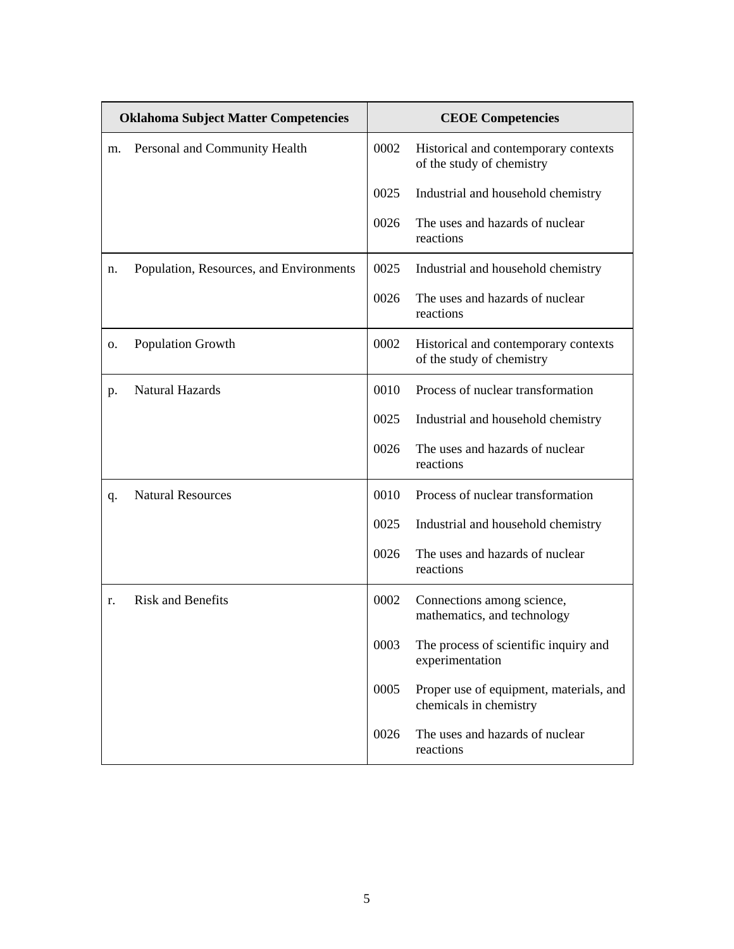| <b>Oklahoma Subject Matter Competencies</b> |                                         | <b>CEOE Competencies</b> |                                                                   |
|---------------------------------------------|-----------------------------------------|--------------------------|-------------------------------------------------------------------|
| m.                                          | Personal and Community Health           | 0002                     | Historical and contemporary contexts<br>of the study of chemistry |
|                                             |                                         | 0025                     | Industrial and household chemistry                                |
|                                             |                                         | 0026                     | The uses and hazards of nuclear<br>reactions                      |
| n.                                          | Population, Resources, and Environments | 0025                     | Industrial and household chemistry                                |
|                                             |                                         | 0026                     | The uses and hazards of nuclear<br>reactions                      |
| 0.                                          | <b>Population Growth</b>                | 0002                     | Historical and contemporary contexts<br>of the study of chemistry |
| p.                                          | <b>Natural Hazards</b>                  | 0010                     | Process of nuclear transformation                                 |
|                                             |                                         | 0025                     | Industrial and household chemistry                                |
|                                             |                                         | 0026                     | The uses and hazards of nuclear<br>reactions                      |
| q.                                          | <b>Natural Resources</b>                | 0010                     | Process of nuclear transformation                                 |
|                                             |                                         | 0025                     | Industrial and household chemistry                                |
|                                             |                                         | 0026                     | The uses and hazards of nuclear<br>reactions                      |
| r.                                          | <b>Risk and Benefits</b>                | 0002                     | Connections among science,<br>mathematics, and technology         |
|                                             |                                         | 0003                     | The process of scientific inquiry and<br>experimentation          |
|                                             |                                         | 0005                     | Proper use of equipment, materials, and<br>chemicals in chemistry |
|                                             |                                         | 0026                     | The uses and hazards of nuclear<br>reactions                      |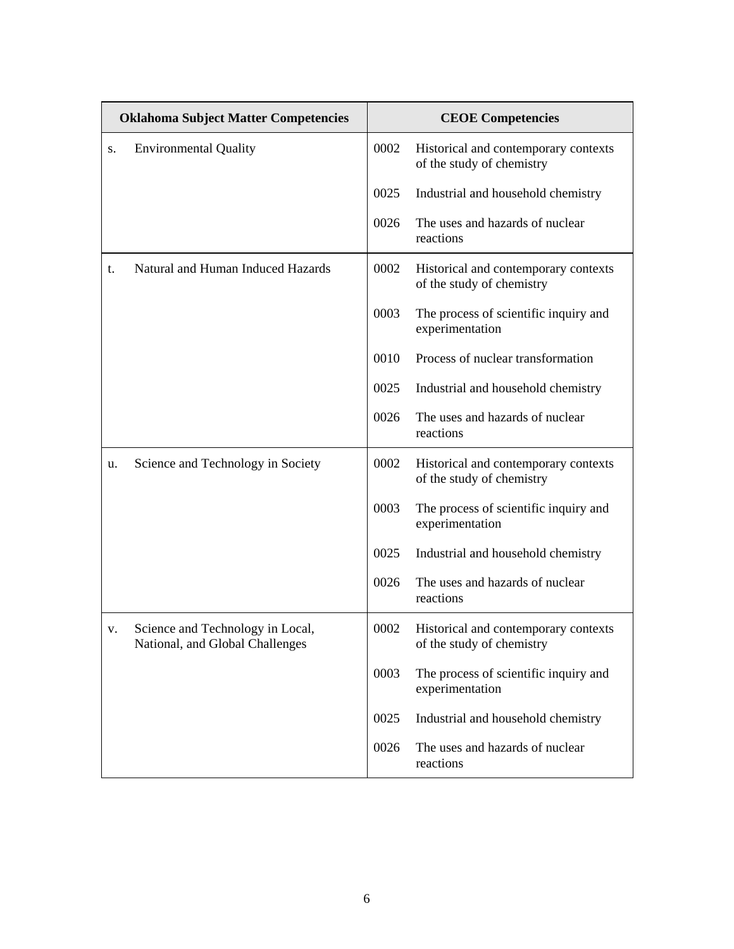| <b>Oklahoma Subject Matter Competencies</b> |                                                                     | <b>CEOE Competencies</b> |                                                                   |
|---------------------------------------------|---------------------------------------------------------------------|--------------------------|-------------------------------------------------------------------|
| S.                                          | <b>Environmental Quality</b>                                        | 0002                     | Historical and contemporary contexts<br>of the study of chemistry |
|                                             |                                                                     | 0025                     | Industrial and household chemistry                                |
|                                             |                                                                     | 0026                     | The uses and hazards of nuclear<br>reactions                      |
| t.                                          | Natural and Human Induced Hazards                                   | 0002                     | Historical and contemporary contexts<br>of the study of chemistry |
|                                             |                                                                     | 0003                     | The process of scientific inquiry and<br>experimentation          |
|                                             |                                                                     | 0010                     | Process of nuclear transformation                                 |
|                                             |                                                                     | 0025                     | Industrial and household chemistry                                |
|                                             |                                                                     | 0026                     | The uses and hazards of nuclear<br>reactions                      |
| u.                                          | Science and Technology in Society                                   | 0002                     | Historical and contemporary contexts<br>of the study of chemistry |
|                                             |                                                                     | 0003                     | The process of scientific inquiry and<br>experimentation          |
|                                             |                                                                     | 0025                     | Industrial and household chemistry                                |
|                                             |                                                                     | 0026                     | The uses and hazards of nuclear<br>reactions                      |
| v.                                          | Science and Technology in Local,<br>National, and Global Challenges | 0002                     | Historical and contemporary contexts<br>of the study of chemistry |
|                                             |                                                                     | 0003                     | The process of scientific inquiry and<br>experimentation          |
|                                             |                                                                     | 0025                     | Industrial and household chemistry                                |
|                                             |                                                                     | 0026                     | The uses and hazards of nuclear<br>reactions                      |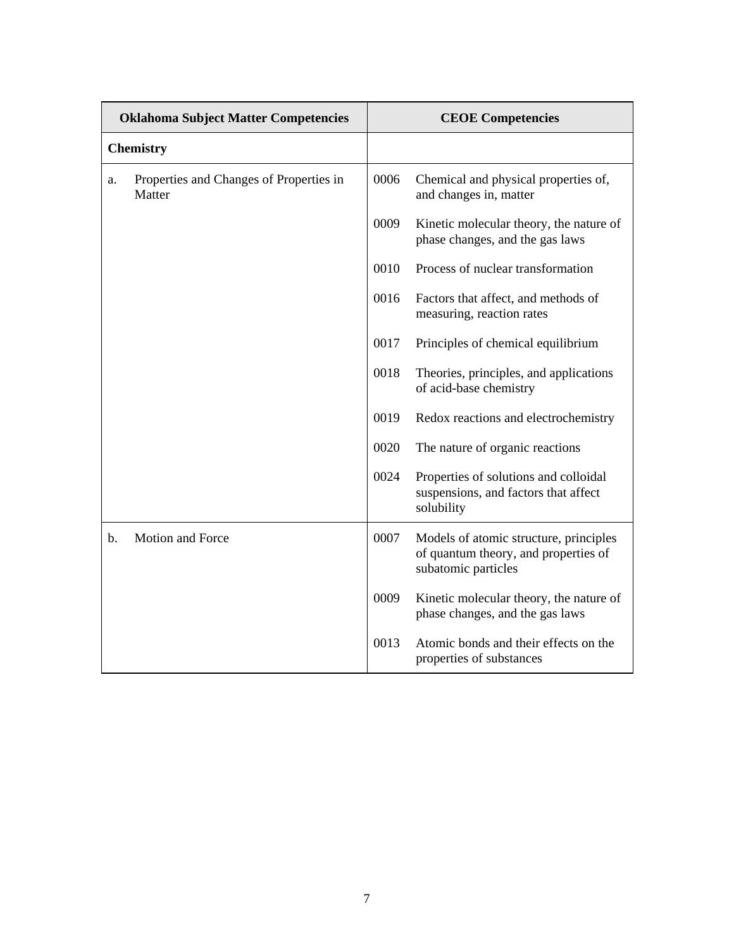| <b>Oklahoma Subject Matter Competencies</b> |                                                   | <b>CEOE Competencies</b> |                                                                                                       |
|---------------------------------------------|---------------------------------------------------|--------------------------|-------------------------------------------------------------------------------------------------------|
| <b>Chemistry</b>                            |                                                   |                          |                                                                                                       |
| a.                                          | Properties and Changes of Properties in<br>Matter | 0006                     | Chemical and physical properties of,<br>and changes in, matter                                        |
|                                             |                                                   | 0009                     | Kinetic molecular theory, the nature of<br>phase changes, and the gas laws                            |
|                                             |                                                   | 0010                     | Process of nuclear transformation                                                                     |
|                                             |                                                   | 0016                     | Factors that affect, and methods of<br>measuring, reaction rates                                      |
|                                             |                                                   | 0017                     | Principles of chemical equilibrium                                                                    |
|                                             |                                                   | 0018                     | Theories, principles, and applications<br>of acid-base chemistry                                      |
|                                             |                                                   | 0019                     | Redox reactions and electrochemistry                                                                  |
|                                             |                                                   | 0020                     | The nature of organic reactions                                                                       |
|                                             |                                                   | 0024                     | Properties of solutions and colloidal<br>suspensions, and factors that affect<br>solubility           |
| $\mathbf{b}$ .                              | Motion and Force                                  | 0007                     | Models of atomic structure, principles<br>of quantum theory, and properties of<br>subatomic particles |
|                                             |                                                   | 0009                     | Kinetic molecular theory, the nature of<br>phase changes, and the gas laws                            |
|                                             |                                                   | 0013                     | Atomic bonds and their effects on the<br>properties of substances                                     |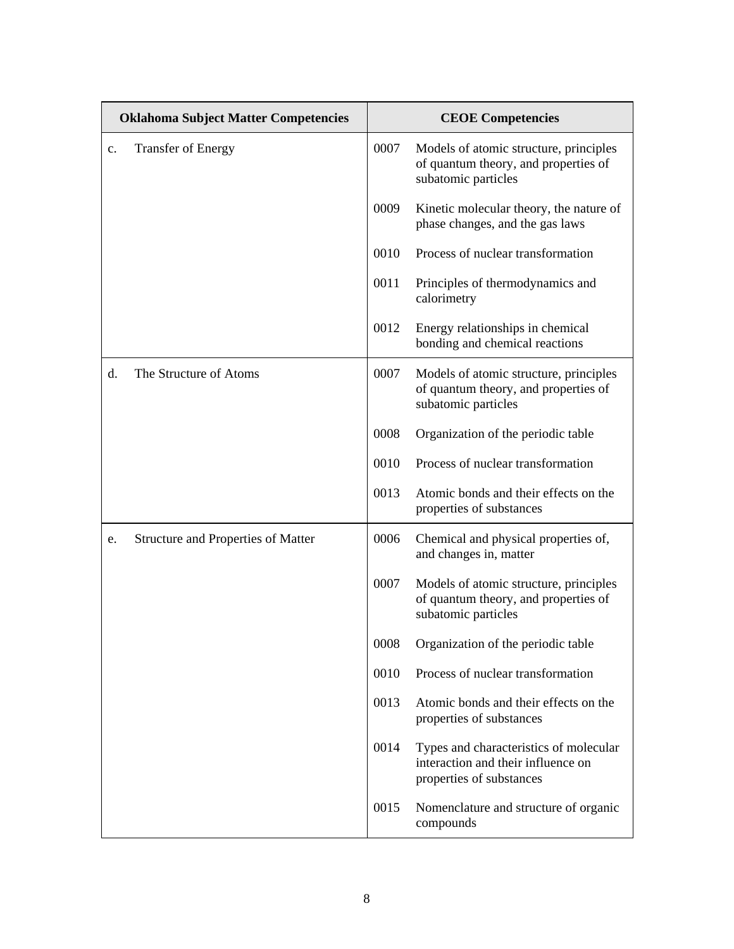| <b>Oklahoma Subject Matter Competencies</b> |                                           | <b>CEOE Competencies</b> |                                                                                                          |
|---------------------------------------------|-------------------------------------------|--------------------------|----------------------------------------------------------------------------------------------------------|
| $\mathbf{c}$ .                              | <b>Transfer of Energy</b>                 | 0007                     | Models of atomic structure, principles<br>of quantum theory, and properties of<br>subatomic particles    |
|                                             |                                           | 0009                     | Kinetic molecular theory, the nature of<br>phase changes, and the gas laws                               |
|                                             |                                           | 0010                     | Process of nuclear transformation                                                                        |
|                                             |                                           | 0011                     | Principles of thermodynamics and<br>calorimetry                                                          |
|                                             |                                           | 0012                     | Energy relationships in chemical<br>bonding and chemical reactions                                       |
| d.                                          | The Structure of Atoms                    | 0007                     | Models of atomic structure, principles<br>of quantum theory, and properties of<br>subatomic particles    |
|                                             |                                           | 0008                     | Organization of the periodic table                                                                       |
|                                             |                                           | 0010                     | Process of nuclear transformation                                                                        |
|                                             |                                           | 0013                     | Atomic bonds and their effects on the<br>properties of substances                                        |
| e.                                          | <b>Structure and Properties of Matter</b> | 0006                     | Chemical and physical properties of,<br>and changes in, matter                                           |
|                                             |                                           | 0007                     | Models of atomic structure, principles<br>of quantum theory, and properties of<br>subatomic particles    |
|                                             |                                           | 0008                     | Organization of the periodic table                                                                       |
|                                             |                                           | 0010                     | Process of nuclear transformation                                                                        |
|                                             |                                           | 0013                     | Atomic bonds and their effects on the<br>properties of substances                                        |
|                                             |                                           | 0014                     | Types and characteristics of molecular<br>interaction and their influence on<br>properties of substances |
|                                             |                                           | 0015                     | Nomenclature and structure of organic<br>compounds                                                       |